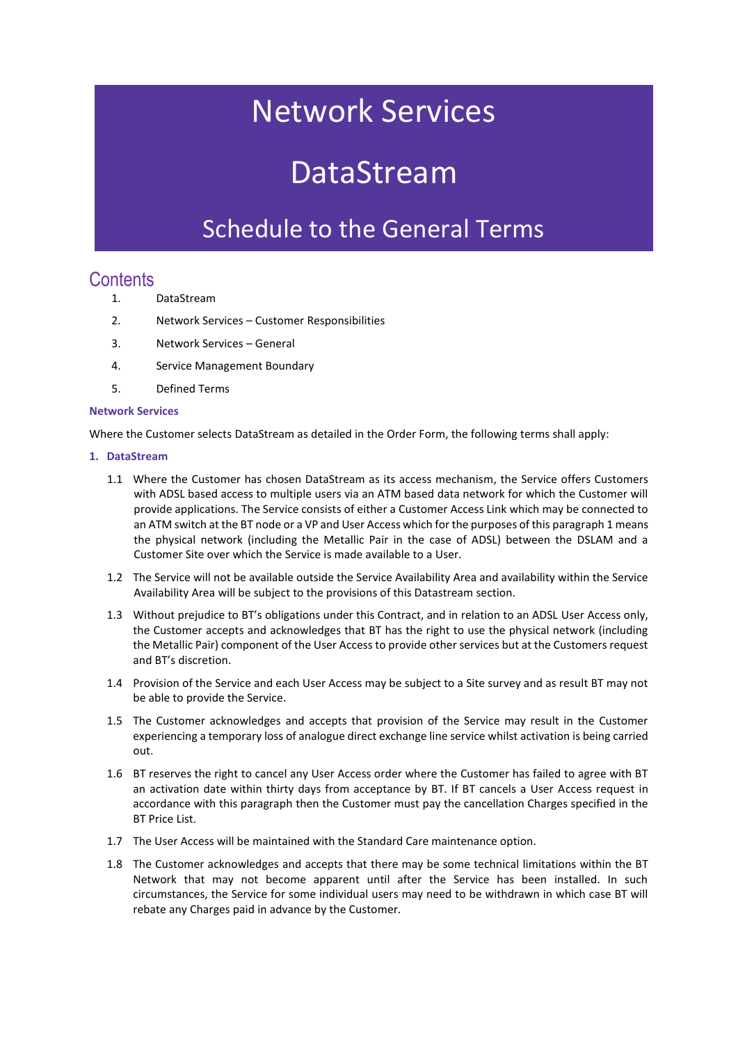## Network Services

# DataStream

### Schedule to the General Terms

### **Contents**

- 1. DataStream
- 2. Network Services Customer Responsibilities
- 3. Network Services General
- 4. Service Management Boundary
- 5. Defined Terms

#### **Network Services**

Where the Customer selects DataStream as detailed in the Order Form, the following terms shall apply:

#### **1. DataStream**

- 1.1 Where the Customer has chosen DataStream as its access mechanism, the Service offers Customers with ADSL based access to multiple users via an ATM based data network for which the Customer will provide applications. The Service consists of either a Customer Access Link which may be connected to an ATM switch at the BT node or a VP and User Access which for the purposes of this paragraph 1 means the physical network (including the Metallic Pair in the case of ADSL) between the DSLAM and a Customer Site over which the Service is made available to a User.
- 1.2 The Service will not be available outside the Service Availability Area and availability within the Service Availability Area will be subject to the provisions of this Datastream section.
- 1.3 Without prejudice to BT's obligations under this Contract, and in relation to an ADSL User Access only, the Customer accepts and acknowledges that BT has the right to use the physical network (including the Metallic Pair) component of the User Access to provide other services but at the Customers request and BT's discretion.
- 1.4 Provision of the Service and each User Access may be subject to a Site survey and as result BT may not be able to provide the Service.
- 1.5 The Customer acknowledges and accepts that provision of the Service may result in the Customer experiencing a temporary loss of analogue direct exchange line service whilst activation is being carried out.
- 1.6 BT reserves the right to cancel any User Access order where the Customer has failed to agree with BT an activation date within thirty days from acceptance by BT. If BT cancels a User Access request in accordance with this paragraph then the Customer must pay the cancellation Charges specified in the BT Price List.
- 1.7 The User Access will be maintained with the Standard Care maintenance option.
- 1.8 The Customer acknowledges and accepts that there may be some technical limitations within the BT Network that may not become apparent until after the Service has been installed. In such circumstances, the Service for some individual users may need to be withdrawn in which case BT will rebate any Charges paid in advance by the Customer.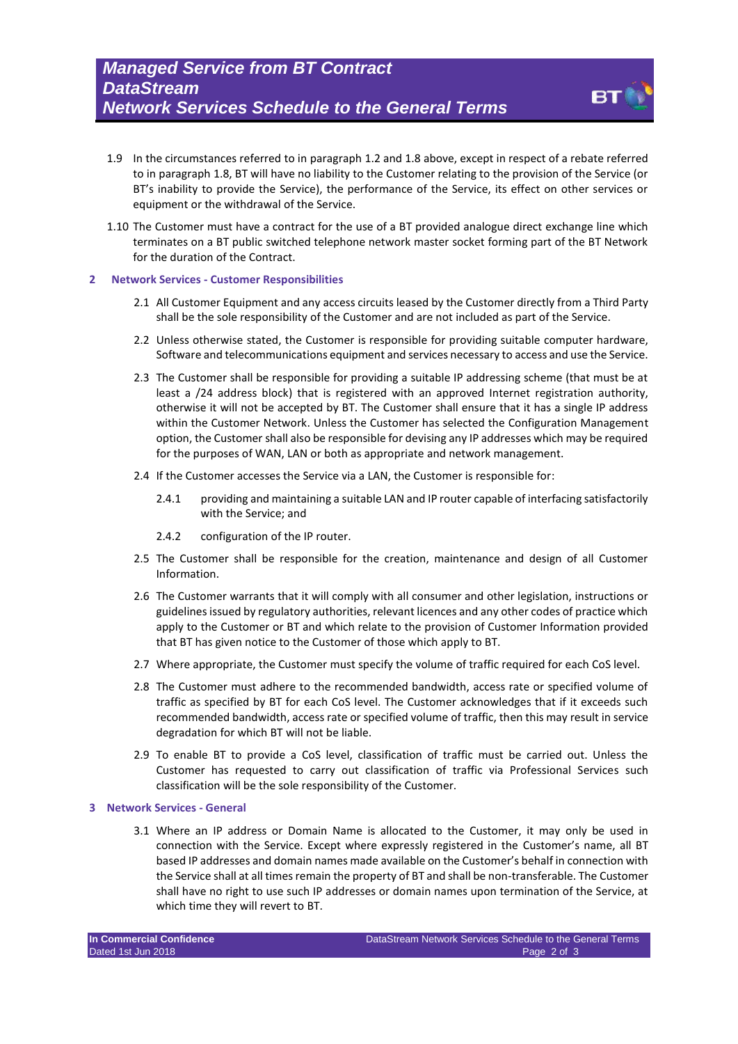

- 1.9 In the circumstances referred to in paragraph 1.2 and 1.8 above, except in respect of a rebate referred to in paragraph 1.8, BT will have no liability to the Customer relating to the provision of the Service (or BT's inability to provide the Service), the performance of the Service, its effect on other services or equipment or the withdrawal of the Service.
- 1.10 The Customer must have a contract for the use of a BT provided analogue direct exchange line which terminates on a BT public switched telephone network master socket forming part of the BT Network for the duration of the Contract.
- **2 Network Services - Customer Responsibilities** 
	- 2.1 All Customer Equipment and any access circuits leased by the Customer directly from a Third Party shall be the sole responsibility of the Customer and are not included as part of the Service.
	- 2.2 Unless otherwise stated, the Customer is responsible for providing suitable computer hardware, Software and telecommunications equipment and services necessary to access and use the Service.
	- 2.3 The Customer shall be responsible for providing a suitable IP addressing scheme (that must be at least a /24 address block) that is registered with an approved Internet registration authority, otherwise it will not be accepted by BT. The Customer shall ensure that it has a single IP address within the Customer Network. Unless the Customer has selected the Configuration Management option, the Customer shall also be responsible for devising any IP addresses which may be required for the purposes of WAN, LAN or both as appropriate and network management.
	- 2.4 If the Customer accesses the Service via a LAN, the Customer is responsible for:
		- 2.4.1 providing and maintaining a suitable LAN and IP router capable of interfacing satisfactorily with the Service; and
		- 2.4.2 configuration of the IP router.
	- 2.5 The Customer shall be responsible for the creation, maintenance and design of all Customer Information.
	- 2.6 The Customer warrants that it will comply with all consumer and other legislation, instructions or guidelines issued by regulatory authorities, relevant licences and any other codes of practice which apply to the Customer or BT and which relate to the provision of Customer Information provided that BT has given notice to the Customer of those which apply to BT.
	- 2.7 Where appropriate, the Customer must specify the volume of traffic required for each CoS level.
	- 2.8 The Customer must adhere to the recommended bandwidth, access rate or specified volume of traffic as specified by BT for each CoS level. The Customer acknowledges that if it exceeds such recommended bandwidth, access rate or specified volume of traffic, then this may result in service degradation for which BT will not be liable.
	- 2.9 To enable BT to provide a CoS level, classification of traffic must be carried out. Unless the Customer has requested to carry out classification of traffic via Professional Services such classification will be the sole responsibility of the Customer.

#### **3 Network Services - General**

3.1 Where an IP address or Domain Name is allocated to the Customer, it may only be used in connection with the Service. Except where expressly registered in the Customer's name, all BT based IP addresses and domain names made available on the Customer's behalf in connection with the Service shall at all times remain the property of BT and shall be non-transferable. The Customer shall have no right to use such IP addresses or domain names upon termination of the Service, at which time they will revert to BT.